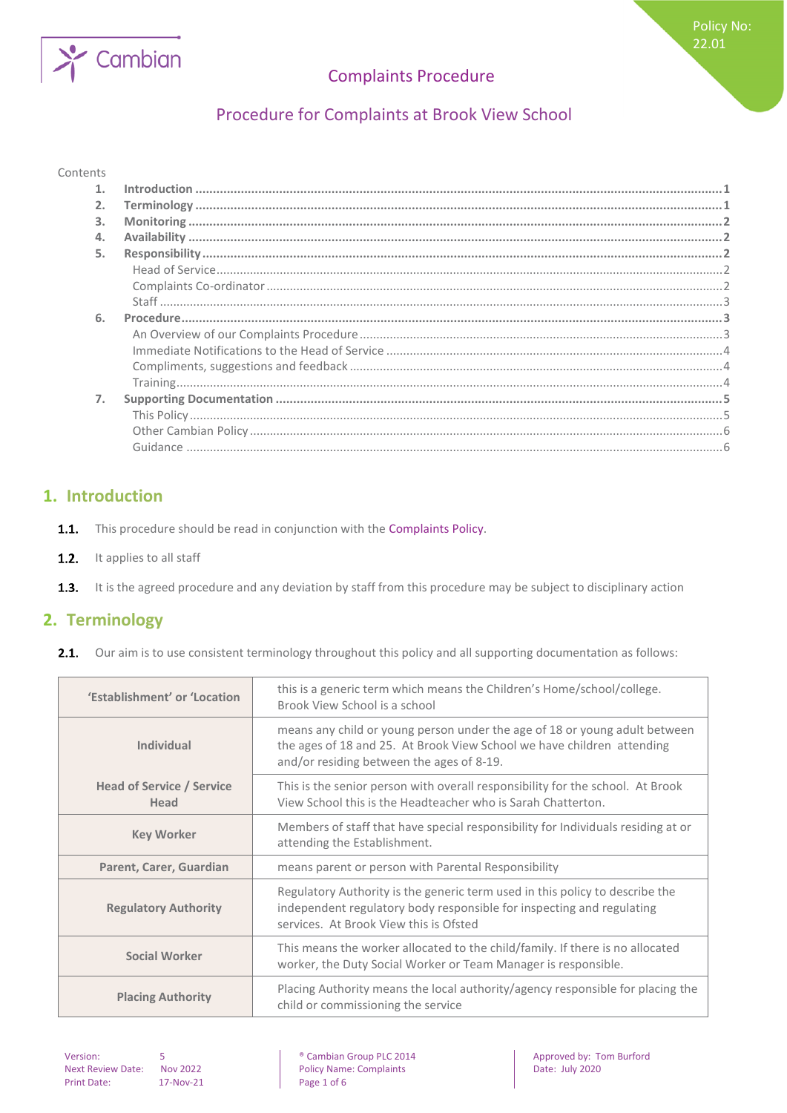# Procedure for Complaints at Brook View School

#### Contents

Cambian

| 3. |  |
|----|--|
| 4. |  |
| 5. |  |
|    |  |
|    |  |
|    |  |
| 6. |  |
|    |  |
|    |  |
|    |  |
|    |  |
| 7. |  |
|    |  |
|    |  |
|    |  |
|    |  |

## <span id="page-0-0"></span>**1. Introduction**

- $1.1.$ This procedure should be read in conjunction with the Complaints Policy.
- $1.2.$ It applies to all staff
- <span id="page-0-1"></span> $1.3.$ It is the agreed procedure and any deviation by staff from this procedure may be subject to disciplinary action

## **2. Terminology**

**2.1.** Our aim is to use consistent terminology throughout this policy and all supporting documentation as follows:

| 'Establishment' or 'Location             | this is a generic term which means the Children's Home/school/college.<br>Brook View School is a school                                                                                           |  |
|------------------------------------------|---------------------------------------------------------------------------------------------------------------------------------------------------------------------------------------------------|--|
| <b>Individual</b>                        | means any child or young person under the age of 18 or young adult between<br>the ages of 18 and 25. At Brook View School we have children attending<br>and/or residing between the ages of 8-19. |  |
| <b>Head of Service / Service</b><br>Head | This is the senior person with overall responsibility for the school. At Brook<br>View School this is the Headteacher who is Sarah Chatterton.                                                    |  |
| <b>Key Worker</b>                        | Members of staff that have special responsibility for Individuals residing at or<br>attending the Establishment.                                                                                  |  |
| Parent, Carer, Guardian                  | means parent or person with Parental Responsibility                                                                                                                                               |  |
| <b>Regulatory Authority</b>              | Regulatory Authority is the generic term used in this policy to describe the<br>independent regulatory body responsible for inspecting and regulating<br>services. At Brook View this is Ofsted   |  |
| <b>Social Worker</b>                     | This means the worker allocated to the child/family. If there is no allocated<br>worker, the Duty Social Worker or Team Manager is responsible.                                                   |  |
| <b>Placing Authority</b>                 | Placing Authority means the local authority/agency responsible for placing the<br>child or commissioning the service                                                                              |  |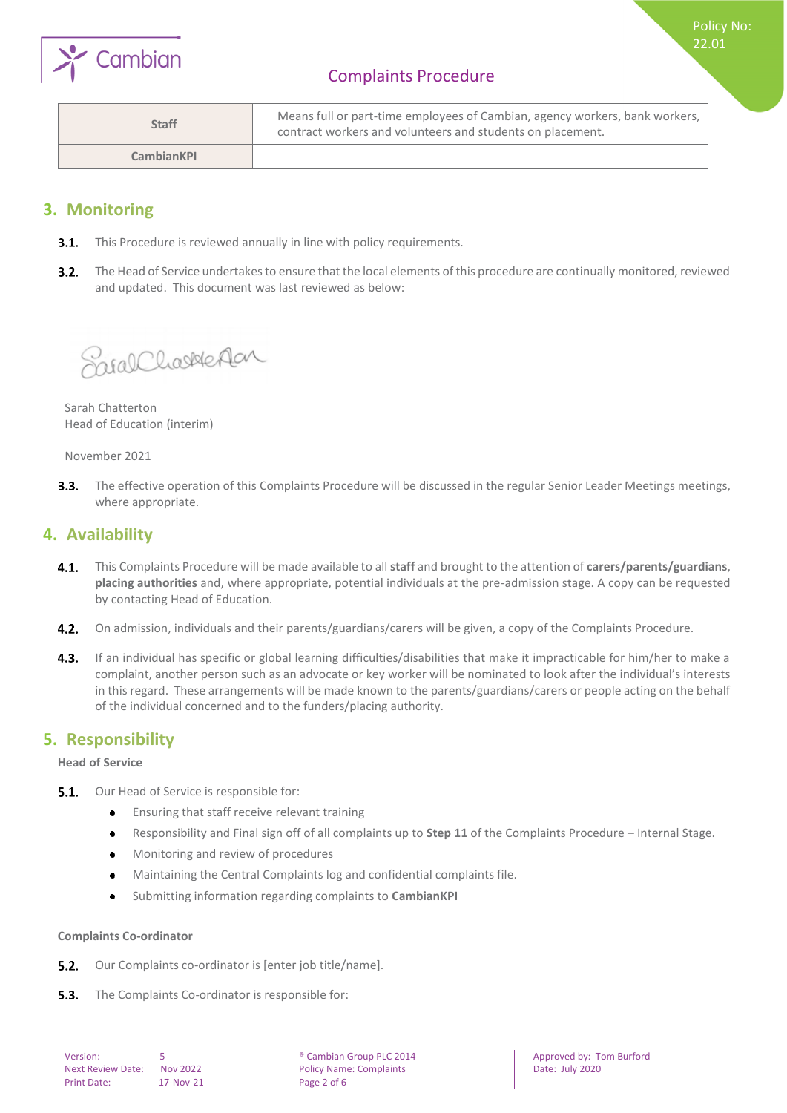

Policy No: 22.01

| <b>Staff</b>      | Means full or part-time employees of Cambian, agency workers, bank workers,  <br>contract workers and volunteers and students on placement. |
|-------------------|---------------------------------------------------------------------------------------------------------------------------------------------|
| <b>CambianKPI</b> |                                                                                                                                             |

## <span id="page-1-0"></span>**3. Monitoring**

- **3.1.** This Procedure is reviewed annually in line with policy requirements.
- $3.2.$ The Head of Service undertakes to ensure that the local elements of this procedure are continually monitored, reviewed and updated. This document was last reviewed as below:

SirghCharleAan

Sarah Chatterton Head of Education (interim)

November 2021

 $3.3.$ The effective operation of this Complaints Procedure will be discussed in the regular Senior Leader Meetings meetings, where appropriate.

## <span id="page-1-1"></span>**4. Availability**

- $4.1.$ This Complaints Procedure will be made available to all **staff** and brought to the attention of **carers/parents/guardians**, **placing authorities** and, where appropriate, potential individuals at the pre-admission stage. A copy can be requested by contacting Head of Education.
- 4.2. On admission, individuals and their parents/guardians/carers will be given, a copy of the Complaints Procedure.
- 4.3. If an individual has specific or global learning difficulties/disabilities that make it impracticable for him/her to make a complaint, another person such as an advocate or key worker will be nominated to look after the individual's interests in this regard. These arrangements will be made known to the parents/guardians/carers or people acting on the behalf of the individual concerned and to the funders/placing authority.

### <span id="page-1-2"></span>**5. Responsibility**

<span id="page-1-3"></span>**Head of Service**

- **5.1.** Our Head of Service is responsible for:
	- $\bullet$ Ensuring that staff receive relevant training
	- Responsibility and Final sign off of all complaints up to **Step 11** of the Complaints Procedure Internal Stage.  $\bullet$
	- Monitoring and review of procedures  $\bullet$
	- Maintaining the Central Complaints log and confidential complaints file.
	- Submitting information regarding complaints to **CambianKPI**   $\bullet$

#### <span id="page-1-4"></span>**Complaints Co-ordinator**

- Our Complaints co-ordinator is [enter job title/name].  $5.2.$
- The Complaints Co-ordinator is responsible for: $5.3.$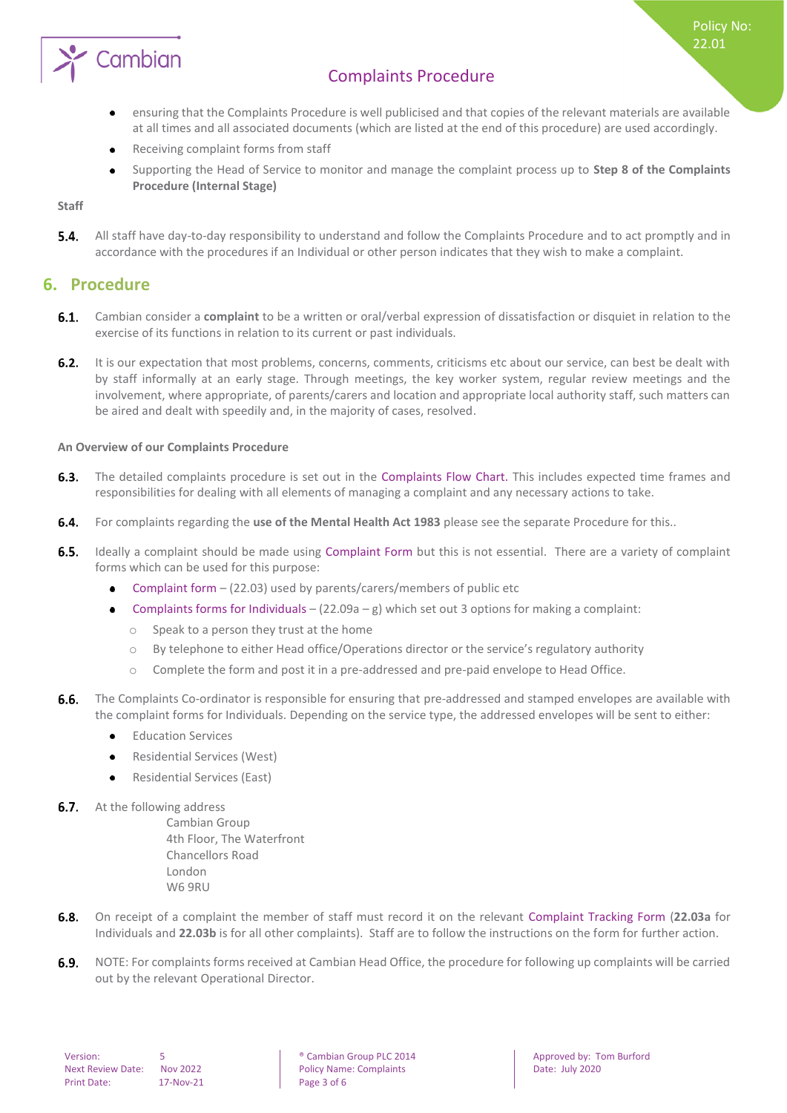

- ensuring that the Complaints Procedure is well publicised and that copies of the relevant materials are available at all times and all associated documents (which are listed at the end of this procedure) are used accordingly.
- Receiving complaint forms from staff
- Supporting the Head of Service to monitor and manage the complaint process up to **Step 8 of the Complaints Procedure (Internal Stage)**

<span id="page-2-0"></span>**Staff**

 $5.4.$ All staff have day-to-day responsibility to understand and follow the Complaints Procedure and to act promptly and in accordance with the procedures if an Individual or other person indicates that they wish to make a complaint.

#### <span id="page-2-1"></span>**6. Procedure**

Cambian

- Cambian consider a **complaint** to be a written or oral/verbal expression of dissatisfaction or disquiet in relation to the exercise of its functions in relation to its current or past individuals.
- **6.2.** It is our expectation that most problems, concerns, comments, criticisms etc about our service, can best be dealt with by staff informally at an early stage. Through meetings, the key worker system, regular review meetings and the involvement, where appropriate, of parents/carers and location and appropriate local authority staff, such matters can be aired and dealt with speedily and, in the majority of cases, resolved.

#### <span id="page-2-2"></span>**An Overview of our Complaints Procedure**

- The detailed complaints procedure is set out in the Complaints Flow Chart. This includes expected time frames and  $6.3.$ responsibilities for dealing with all elements of managing a complaint and any necessary actions to take.
- $6.4.$ For complaints regarding the **use of the Mental Health Act 1983** please see the separate Procedure for this..
- $6.5.$ Ideally a complaint should be made using Complaint Form but this is not essential. There are a variety of complaint forms which can be used for this purpose:
	- Complaint form (22.03) used by parents/carers/members of public etc  $\bullet$
	- Complaints forms for Individuals  $(22.09a g)$  which set out 3 options for making a complaint:
		- o Speak to a person they trust at the home
		- o By telephone to either Head office/Operations director or the service's regulatory authority
		- o Complete the form and post it in a pre-addressed and pre-paid envelope to Head Office.
- $6.6.$ The Complaints Co-ordinator is responsible for ensuring that pre-addressed and stamped envelopes are available with the complaint forms for Individuals. Depending on the service type, the addressed envelopes will be sent to either:
	- Education Services  $\bullet$
	- Residential Services (West)
	- Residential Services (East)  $\bullet$
- 6.7. At the following address
	- Cambian Group 4th Floor, The Waterfront Chancellors Road London W6 9RU
- On receipt of a complaint the member of staff must record it on the relevant Complaint Tracking Form (**22.03a** for  $6.8.$ Individuals and **22.03b** is for all other complaints). Staff are to follow the instructions on the form for further action.
- 6.9. NOTE: For complaints forms received at Cambian Head Office, the procedure for following up complaints will be carried out by the relevant Operational Director.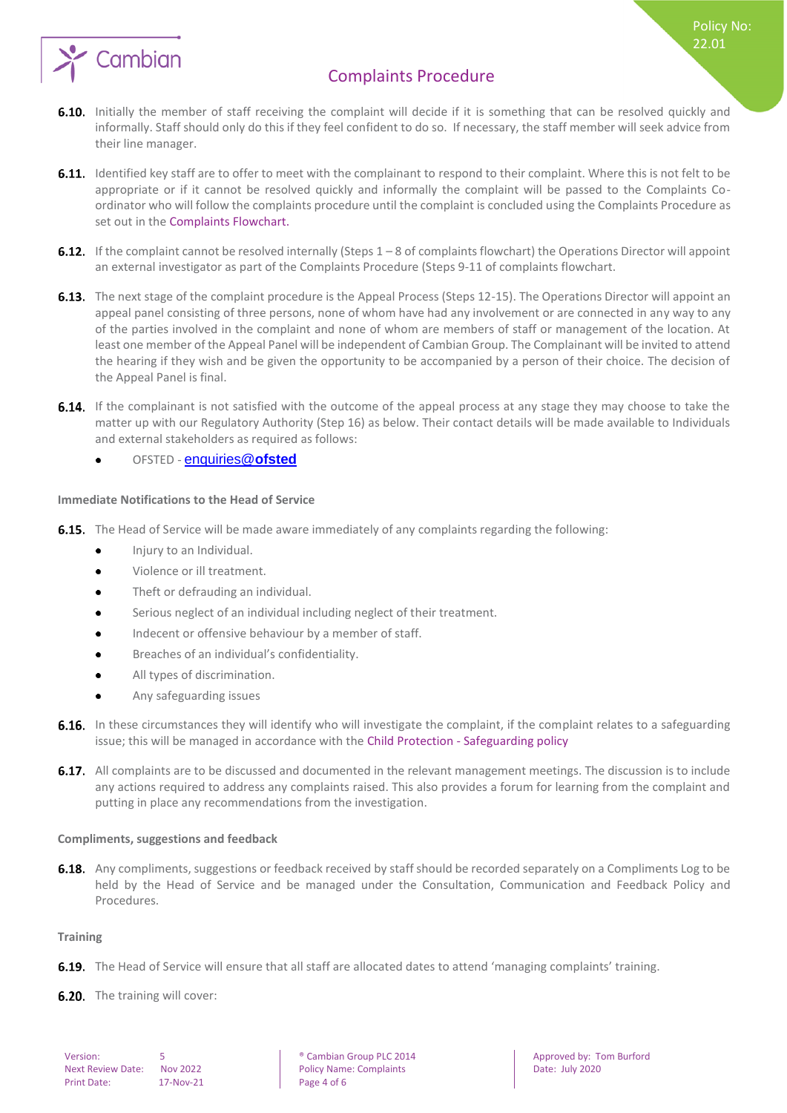

Policy No: 22.01

- 6.10. Initially the member of staff receiving the complaint will decide if it is something that can be resolved quickly and informally. Staff should only do this if they feel confident to do so. If necessary, the staff member will seek advice from their line manager.
- 6.11. Identified key staff are to offer to meet with the complainant to respond to their complaint. Where this is not felt to be appropriate or if it cannot be resolved quickly and informally the complaint will be passed to the Complaints Coordinator who will follow the complaints procedure until the complaint is concluded using the Complaints Procedure as set out in the Complaints Flowchart.
- **6.12.** If the complaint cannot be resolved internally (Steps  $1 8$  of complaints flowchart) the Operations Director will appoint an external investigator as part of the Complaints Procedure (Steps 9-11 of complaints flowchart.
- 6.13. The next stage of the complaint procedure is the Appeal Process (Steps 12-15). The Operations Director will appoint an appeal panel consisting of three persons, none of whom have had any involvement or are connected in any way to any of the parties involved in the complaint and none of whom are members of staff or management of the location. At least one member of the Appeal Panel will be independent of Cambian Group. The Complainant will be invited to attend the hearing if they wish and be given the opportunity to be accompanied by a person of their choice. The decision of the Appeal Panel is final.
- **6.14.** If the complainant is not satisfied with the outcome of the appeal process at any stage they may choose to take the matter up with our Regulatory Authority (Step 16) as below. Their contact details will be made available to Individuals and external stakeholders as required as follows:
	- OFSTED [enquiries@](mailto:enquiries@ofsted)**ofsted**

#### <span id="page-3-0"></span>**Immediate Notifications to the Head of Service**

- **6.15.** The Head of Service will be made aware immediately of any complaints regarding the following:
	- Injury to an Individual.  $\bullet$
	- Violence or ill treatment.
	- Theft or defrauding an individual.  $\bullet$
	- Serious neglect of an individual including neglect of their treatment.
	- Indecent or offensive behaviour by a member of staff.  $\bullet$
	- Breaches of an individual's confidentiality.
	- All types of discrimination.
	- Any safeguarding issues  $\bullet$
- 6.16. In these circumstances they will identify who will investigate the complaint, if the complaint relates to a safeguarding issue; this will be managed in accordance with the Child Protection - Safeguarding policy
- 6.17. All complaints are to be discussed and documented in the relevant management meetings. The discussion is to include any actions required to address any complaints raised. This also provides a forum for learning from the complaint and putting in place any recommendations from the investigation.

#### <span id="page-3-1"></span>**Compliments, suggestions and feedback**

6.18. Any compliments, suggestions or feedback received by staff should be recorded separately on a Compliments Log to be held by the Head of Service and be managed under the Consultation, Communication and Feedback Policy and Procedures.

#### <span id="page-3-2"></span>**Training**

**6.19.** The Head of Service will ensure that all staff are allocated dates to attend 'managing complaints' training.

6.20. The training will cover:

| Version:                 | 5               |
|--------------------------|-----------------|
| <b>Next Review Date:</b> | <b>Nov 2022</b> |
| <b>Print Date:</b>       | 17-Nov-21       |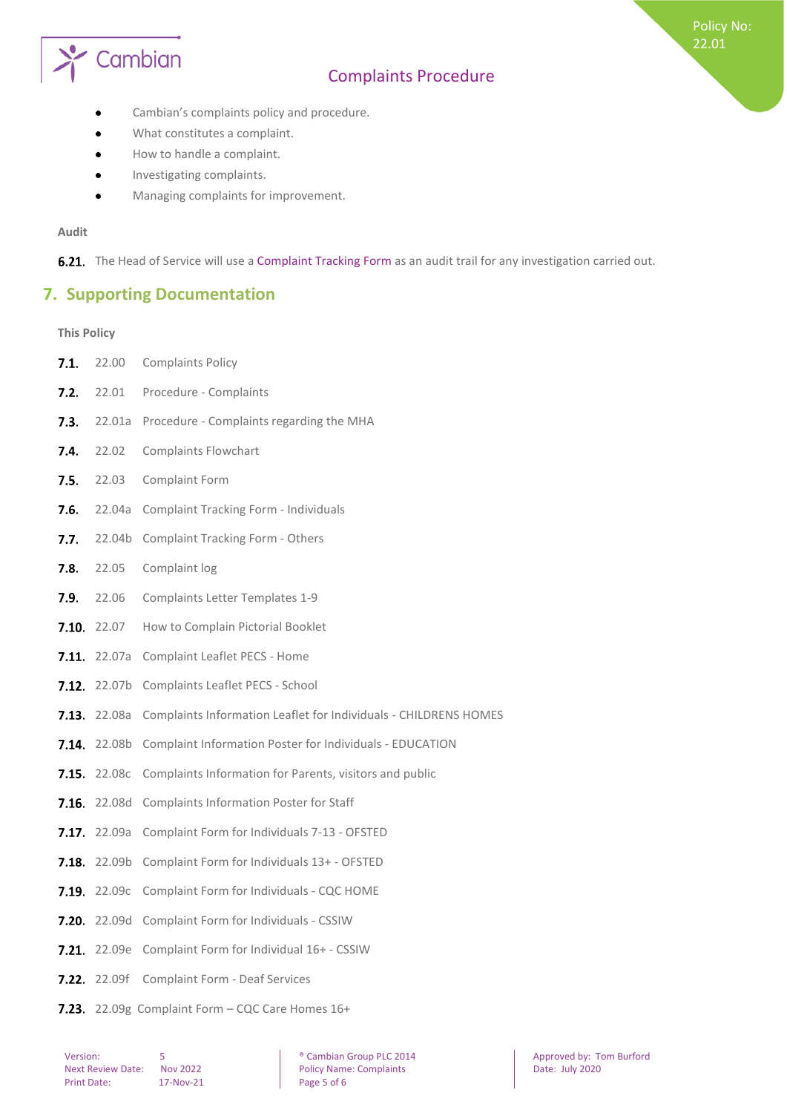# Cambian

# Complaints Procedure

Policy No: 22.01

- Cambian's complaints policy and procedure.
- What constitutes a complaint.
- How to handle a complaint.  $\bullet$
- Investigating complaints.  $\bullet$
- Managing complaints for improvement.

#### **Audit**

<span id="page-4-0"></span>6.21. The Head of Service will use a Complaint Tracking Form as an audit trail for any investigation carried out.

## **7. Supporting Documentation**

#### <span id="page-4-1"></span>**This Policy**

- 7.1. 22.00 Complaints Policy
- 7.2. 22.01 Procedure Complaints
- $7.3.$ 22.01a Procedure - Complaints regarding the MHA
- 7.4. 22.02 Complaints Flowchart
- 7.5. 22.03 Complaint Form
- 7.6. 22.04a Complaint Tracking Form Individuals
- 7.7. 22.04b Complaint Tracking Form Others
- **7.8.** 22.05 Complaint log
- 7.9. 22.06 Complaints Letter Templates 1-9
- **7.10.** 22.07 How to Complain Pictorial Booklet
- 7.11. 22.07a Complaint Leaflet PECS Home
- 7.12. 22.07b Complaints Leaflet PECS School
- **7.13.** 22.08a Complaints Information Leaflet for Individuals CHILDRENS HOMES
- 7.14. 22.08b Complaint Information Poster for Individuals EDUCATION
- 7.15. 22.08c Complaints Information for Parents, visitors and public
- **7.16.** 22.08d Complaints Information Poster for Staff
- 7.17. 22.09a Complaint Form for Individuals 7-13 OFSTED
- 7.18. 22.09b Complaint Form for Individuals 13+ OFSTED
- 7.19. 22.09c Complaint Form for Individuals CQC HOME
- 7.20. 22.09d Complaint Form for Individuals CSSIW
- 7.21. 22.09e Complaint Form for Individual 16+ CSSIW
- 7.22. 22.09f Complaint Form Deaf Services
- 7.23. 22.09g Complaint Form CQC Care Homes 16+